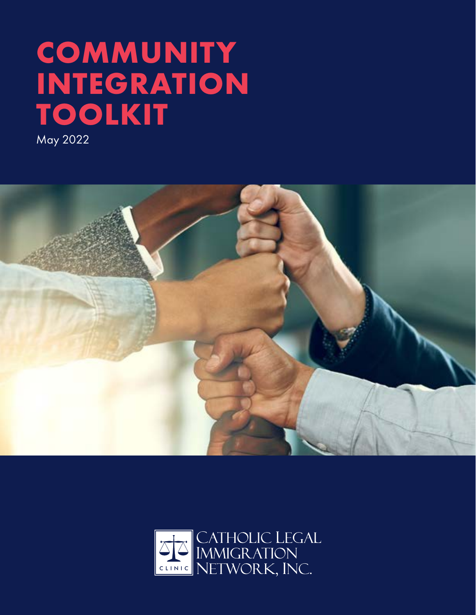# **COMMUNITY INTEGRATION TOOLKIT**

May 2022



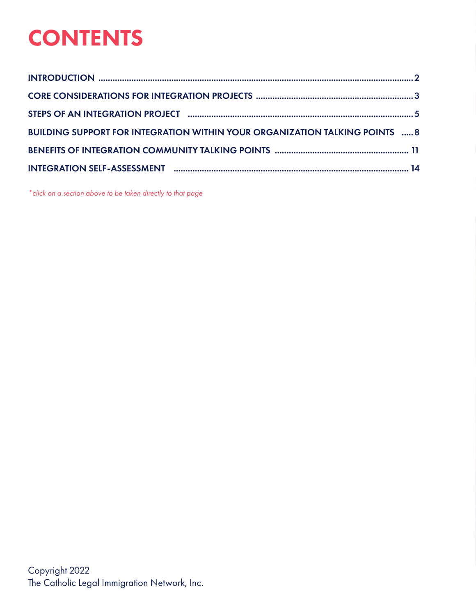## **CONTENTS**

| <b>BUILDING SUPPORT FOR INTEGRATION WITHIN YOUR ORGANIZATION TALKING POINTS  8</b> |  |
|------------------------------------------------------------------------------------|--|
|                                                                                    |  |
|                                                                                    |  |

*\*click on a section above to be taken directly to that page*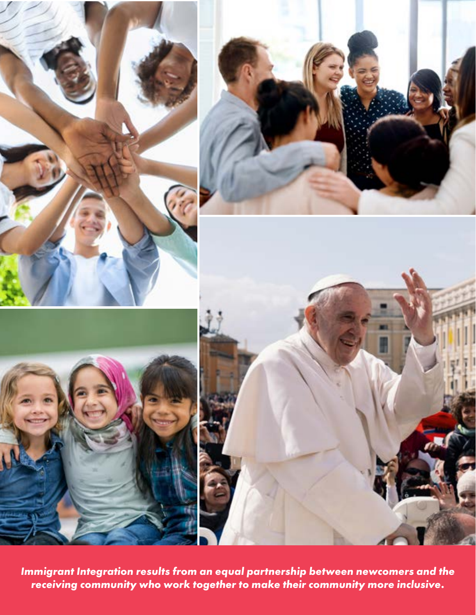

1 *receiving community who work together to make their community more inclusive.Immigrant Integration results from an equal partnership between newcomers and the*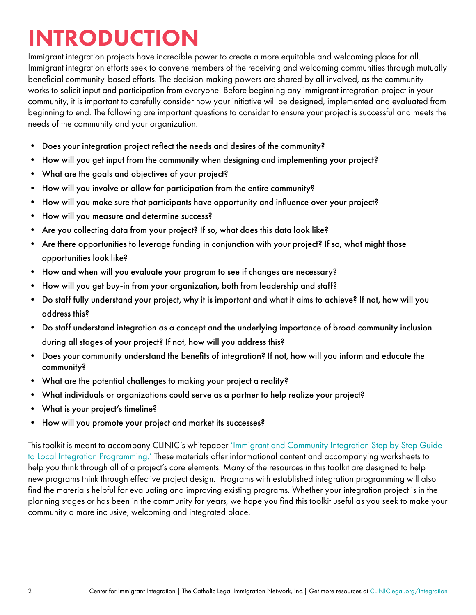## <span id="page-3-0"></span>INTRODUCTION

Immigrant integration projects have incredible power to create a more equitable and welcoming place for all. Immigrant integration efforts seek to convene members of the receiving and welcoming communities through mutually beneficial community-based efforts. The decision-making powers are shared by all involved, as the community works to solicit input and participation from everyone. Before beginning any immigrant integration project in your community, it is important to carefully consider how your initiative will be designed, implemented and evaluated from beginning to end. The following are important questions to consider to ensure your project is successful and meets the needs of the community and your organization.

- Does your integration project reflect the needs and desires of the community?
- How will you get input from the community when designing and implementing your project?
- What are the goals and objectives of your project?
- How will you involve or allow for participation from the entire community?
- How will you make sure that participants have opportunity and influence over your project?
- How will you measure and determine success?
- Are you collecting data from your project? If so, what does this data look like?
- Are there opportunities to leverage funding in conjunction with your project? If so, what might those opportunities look like?
- How and when will you evaluate your program to see if changes are necessary?
- How will you get buy-in from your organization, both from leadership and staff?
- Do staff fully understand your project, why it is important and what it aims to achieve? If not, how will you address this?
- Do staff understand integration as a concept and the underlying importance of broad community inclusion during all stages of your project? If not, how will you address this?
- Does your community understand the benefits of integration? If not, how will you inform and educate the community?
- What are the potential challenges to making your project a reality?
- What individuals or organizations could serve as a partner to help realize your project?
- What is your project's timeline?
- How will you promote your project and market its successes?

This toolkit is meant to accompany CLINIC's whitepaper ['Immigrant and Community Integration Step by Step Guide](https://cliniclegal.org/file-download/download/public/4111)  [to Local Integration Programming.'](https://cliniclegal.org/file-download/download/public/4111) These materials offer informational content and accompanying worksheets to help you think through all of a project's core elements. Many of the resources in this toolkit are designed to help new programs think through effective project design. Programs with established integration programming will also find the materials helpful for evaluating and improving existing programs. Whether your integration project is in the planning stages or has been in the community for years, we hope you find this toolkit useful as you seek to make your community a more inclusive, welcoming and integrated place.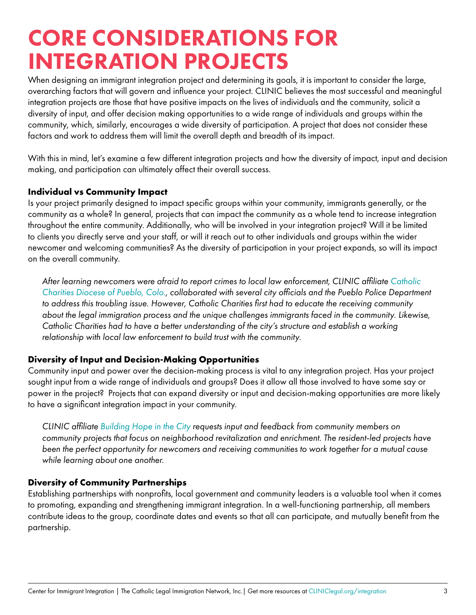## <span id="page-4-0"></span>CORE CONSIDERATIONS FOR INTEGRATION PROJECTS

When designing an immigrant integration project and determining its goals, it is important to consider the large, overarching factors that will govern and influence your project. CLINIC believes the most successful and meaningful integration projects are those that have positive impacts on the lives of individuals and the community, solicit a diversity of input, and offer decision making opportunities to a wide range of individuals and groups within the community, which, similarly, encourages a wide diversity of participation. A project that does not consider these factors and work to address them will limit the overall depth and breadth of its impact.

With this in mind, let's examine a few different integration projects and how the diversity of impact, input and decision making, and participation can ultimately affect their overall success.

#### **Individual vs Community Impact**

Is your project primarily designed to impact specific groups within your community, immigrants generally, or the community as a whole? In general, projects that can impact the community as a whole tend to increase integration throughout the entire community. Additionally, who will be involved in your integration project? Will it be limited to clients you directly serve and your staff, or will it reach out to other individuals and groups within the wider newcomer and welcoming communities? As the diversity of participation in your project expands, so will its impact on the overall community.

*After learning newcomers were afraid to report crimes to local law enforcement, CLINIC affiliate [Catholic](https://cliniclegal.org/stories/working-city-officials-create-more-inclusive-and-welcoming-pueblo)  [Charities Diocese of Pueblo, Colo.](https://cliniclegal.org/stories/working-city-officials-create-more-inclusive-and-welcoming-pueblo), collaborated with several city officials and the Pueblo Police Department to address this troubling issue. However, Catholic Charities first had to educate the receiving community about the legal immigration process and the unique challenges immigrants faced in the community. Likewise, Catholic Charities had to have a better understanding of the city's structure and establish a working relationship with local law enforcement to build trust with the community.* 

### **Diversity of Input and Decision-Making Opportunities**

Community input and power over the decision-making process is vital to any integration project. Has your project sought input from a wide range of individuals and groups? Does it allow all those involved to have some say or power in the project? Projects that can expand diversity or input and decision-making opportunities are more likely to have a significant integration impact in your community.

*CLINIC affiliate [Building Hope in the City](https://cliniclegal.org/stories/building-hope-city-hosts-annual-resident-led-community-projects) requests input and feedback from community members on community projects that focus on neighborhood revitalization and enrichment. The resident-led projects have been the perfect opportunity for newcomers and receiving communities to work together for a mutual cause while learning about one another.* 

### **Diversity of Community Partnerships**

Establishing partnerships with nonprofits, local government and community leaders is a valuable tool when it comes to promoting, expanding and strengthening immigrant integration. In a well-functioning partnership, all members contribute ideas to the group, coordinate dates and events so that all can participate, and mutually benefit from the partnership.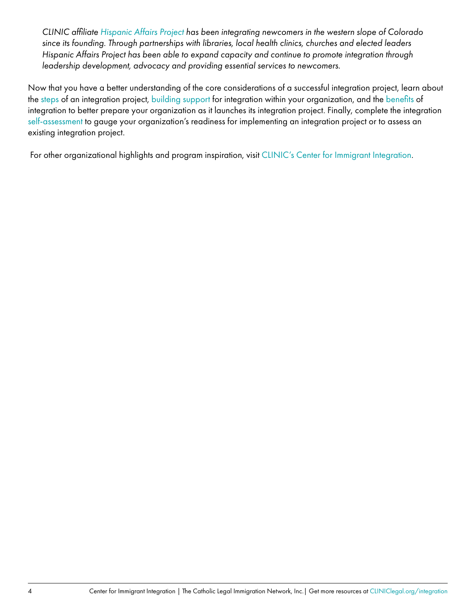*CLINIC affiliate [Hispanic Affairs Project](https://cliniclegal.org/stories/hispanic-affairs-project-joins-city-and-community-leaders-promote-integration) has been integrating newcomers in the western slope of Colorado since its founding. Through partnerships with libraries, local health clinics, churches and elected leaders Hispanic Affairs Project has been able to expand capacity and continue to promote integration through leadership development, advocacy and providing essential services to newcomers.* 

Now that you have a better understanding of the core considerations of a successful integration project, learn about the [steps](#page-6-0) of an integration project, [building support](#page-9-0) for integration within your organization, and the [benefits](#page-12-0) of integration to better prepare your organization as it launches its integration project. Finally, complete the integration [self-assessment](#page-15-0) to gauge your organization's readiness for implementing an integration project or to assess an existing integration project.

For other organizational highlights and program inspiration, visit [CLINIC's Center for Immigrant Integration](https://cliniclegal.org/issues/immigrant-integration/affiliate-highlights).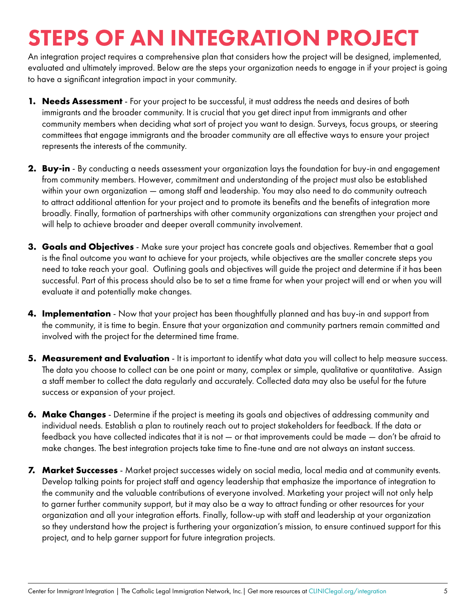## <span id="page-6-0"></span>STEPS OF AN INTEGRATION PROJECT

An integration project requires a comprehensive plan that considers how the project will be designed, implemented, evaluated and ultimately improved. Below are the steps your organization needs to engage in if your project is going to have a significant integration impact in your community.

- **1. Needs Assessment**  For your project to be successful, it must address the needs and desires of both immigrants and the broader community. It is crucial that you get direct input from immigrants and other community members when deciding what sort of project you want to design. Surveys, focus groups, or steering committees that engage immigrants and the broader community are all effective ways to ensure your project represents the interests of the community.
- **2. Buy-in** By conducting a needs assessment your organization lays the foundation for buy-in and engagement from community members. However, commitment and understanding of the project must also be established within your own organization — among staff and leadership. You may also need to do community outreach to attract additional attention for your project and to promote its benefits and the benefits of integration more broadly. Finally, formation of partnerships with other community organizations can strengthen your project and will help to achieve broader and deeper overall community involvement.
- **3. Goals and Objectives** Make sure your project has concrete goals and objectives. Remember that a goal is the final outcome you want to achieve for your projects, while objectives are the smaller concrete steps you need to take reach your goal. Outlining goals and objectives will guide the project and determine if it has been successful. Part of this process should also be to set a time frame for when your project will end or when you will evaluate it and potentially make changes.
- **4. Implementation** Now that your project has been thoughtfully planned and has buy-in and support from the community, it is time to begin. Ensure that your organization and community partners remain committed and involved with the project for the determined time frame.
- **5. Measurement and Evaluation** It is important to identify what data you will collect to help measure success. The data you choose to collect can be one point or many, complex or simple, qualitative or quantitative. Assign a staff member to collect the data regularly and accurately. Collected data may also be useful for the future success or expansion of your project.
- **6. Make Changes** Determine if the project is meeting its goals and objectives of addressing community and individual needs. Establish a plan to routinely reach out to project stakeholders for feedback. If the data or feedback you have collected indicates that it is not — or that improvements could be made — don't be afraid to make changes. The best integration projects take time to fine-tune and are not always an instant success.
- **7. Market Successes**  Market project successes widely on social media, local media and at community events. Develop talking points for project staff and agency leadership that emphasize the importance of integration to the community and the valuable contributions of everyone involved. Marketing your project will not only help to garner further community support, but it may also be a way to attract funding or other resources for your organization and all your integration efforts. Finally, follow-up with staff and leadership at your organization so they understand how the project is furthering your organization's mission, to ensure continued support for this project, and to help garner support for future integration projects.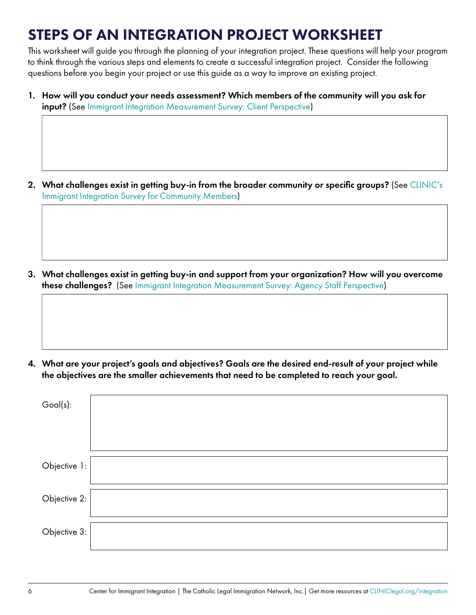### STEPS OF AN INTEGRATION PROJECT WORKSHEET

This worksheet will guide you through the planning of your integration project. These questions will help your program to think through the various steps and elements to create a successful integration project. Consider the following questions before you begin your project or use this guide as a way to improve an existing project.

1. How will you conduct your needs assessment? Which members of the community will you ask for input? (See [Immigrant Integration Measurement Survey: Client Perspective](https://cliniclegal.org/sites/default/files/2020-11/Immigrant%20Integration%20Measurement%20Survey%20Client%20Perspective%20Sample%202020.1105.pdf))

2. What challenges exist in getting buy-in from the broader community or specific groups? (See CLINIC's [Immigrant Integration Survey for Community Members](https://cliniclegal.org/sites/default/files/2020-11/Immigrant%20Integration%20Measurement%20Survey%20Community%20Member%20Perspective%20Sample%202020.1105.pdf))

3. What challenges exist in getting buy-in and support from your organization? How will you overcome these challenges? (See [Immigrant Integration Measurement Survey: Agency Staff Perspective\)](https://cliniclegal.org/sites/default/files/2020-11/Immigrant%20Integration%20Measurement%20Survey%20Agency%20Staff%20Perspective%20Sample%202020.1105.pdf)

4. What are your project's goals and objectives? Goals are the desired end-result of your project while the objectives are the smaller achievements that need to be completed to reach your goal.

| Goal(s):       |  |
|----------------|--|
|                |  |
| Objective 1:   |  |
| Objective $2:$ |  |
| Objective 3:   |  |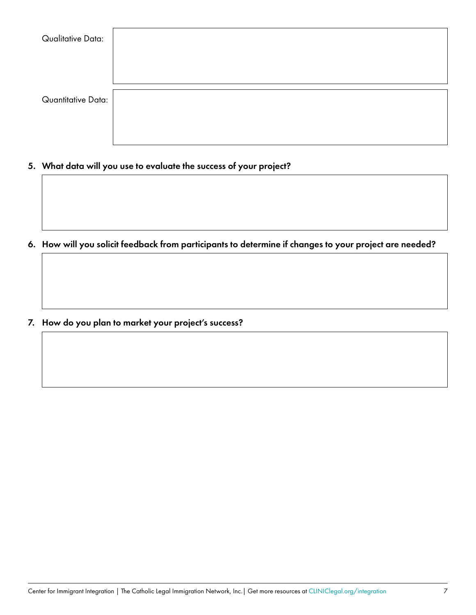| Qualitative Data:  |  |
|--------------------|--|
|                    |  |
|                    |  |
| Quantitative Data: |  |
|                    |  |
|                    |  |

5. What data will you use to evaluate the success of your project?

6. How will you solicit feedback from participants to determine if changes to your project are needed?

7. How do you plan to market your project's success?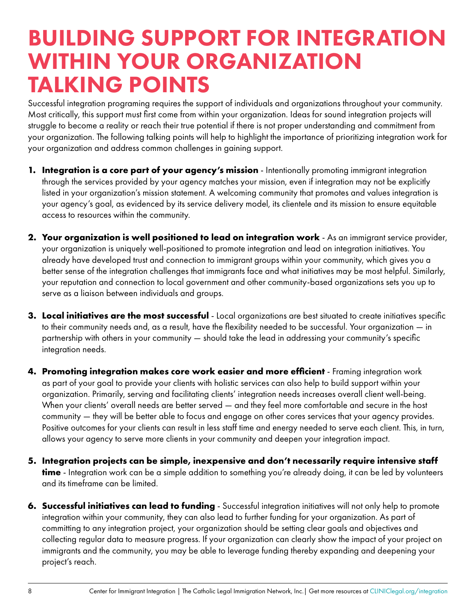### <span id="page-9-0"></span>BUILDING SUPPORT FOR INTEGRATION WITHIN YOUR ORGANIZATION TALKING POINTS

Successful integration programing requires the support of individuals and organizations throughout your community. Most critically, this support must first come from within your organization. Ideas for sound integration projects will struggle to become a reality or reach their true potential if there is not proper understanding and commitment from your organization. The following talking points will help to highlight the importance of prioritizing integration work for your organization and address common challenges in gaining support.

- **1. Integration is a core part of your agency's mission** Intentionally promoting immigrant integration through the services provided by your agency matches your mission, even if integration may not be explicitly listed in your organization's mission statement. A welcoming community that promotes and values integration is your agency's goal, as evidenced by its service delivery model, its clientele and its mission to ensure equitable access to resources within the community.
- **2. Your organization is well positioned to lead on integration work** As an immigrant service provider, your organization is uniquely well-positioned to promote integration and lead on integration initiatives. You already have developed trust and connection to immigrant groups within your community, which gives you a better sense of the integration challenges that immigrants face and what initiatives may be most helpful. Similarly, your reputation and connection to local government and other community-based organizations sets you up to serve as a liaison between individuals and groups.
- **3. Local initiatives are the most successful**  Local organizations are best situated to create initiatives specific to their community needs and, as a result, have the flexibility needed to be successful. Your organization — in partnership with others in your community — should take the lead in addressing your community's specific integration needs.
- **4. Promoting integration makes core work easier and more efficient**  Framing integration work as part of your goal to provide your clients with holistic services can also help to build support within your organization. Primarily, serving and facilitating clients' integration needs increases overall client well-being. When your clients' overall needs are better served — and they feel more comfortable and secure in the host community — they will be better able to focus and engage on other cores services that your agency provides. Positive outcomes for your clients can result in less staff time and energy needed to serve each client. This, in turn, allows your agency to serve more clients in your community and deepen your integration impact.
- **5. Integration projects can be simple, inexpensive and don't necessarily require intensive staff time** - Integration work can be a simple addition to something you're already doing, it can be led by volunteers and its timeframe can be limited.
- **6. Successful initiatives can lead to funding** Successful integration initiatives will not only help to promote integration within your community, they can also lead to further funding for your organization. As part of committing to any integration project, your organization should be setting clear goals and objectives and collecting regular data to measure progress. If your organization can clearly show the impact of your project on immigrants and the community, you may be able to leverage funding thereby expanding and deepening your project's reach.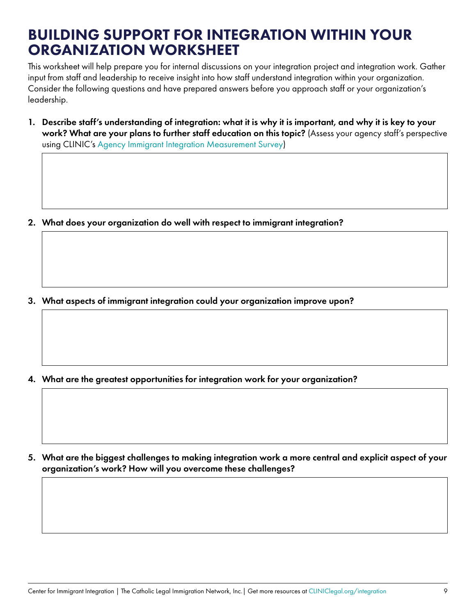### BUILDING SUPPORT FOR INTEGRATION WITHIN YOUR ORGANIZATION WORKSHEET

This worksheet will help prepare you for internal discussions on your integration project and integration work. Gather input from staff and leadership to receive insight into how staff understand integration within your organization. Consider the following questions and have prepared answers before you approach staff or your organization's leadership.

1. Describe staff's understanding of integration: what it is why it is important, and why it is key to your work? What are your plans to further staff education on this topic? (Assess your agency staff's perspective using CLINIC's [Agency Immigrant Integration Measurement Survey](https://cliniclegal.org/sites/default/files/2020-11/Immigrant%20Integration%20Measurement%20Survey%20Agency%20Staff%20Perspective%20Sample%202020.1105.pdf))

2. What does your organization do well with respect to immigrant integration?

3. What aspects of immigrant integration could your organization improve upon?

4. What are the greatest opportunities for integration work for your organization?

5. What are the biggest challenges to making integration work a more central and explicit aspect of your organization's work? How will you overcome these challenges?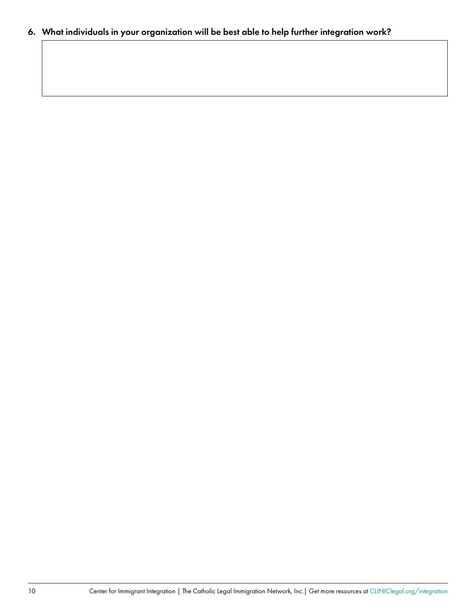### 6. What individuals in your organization will be best able to help further integration work?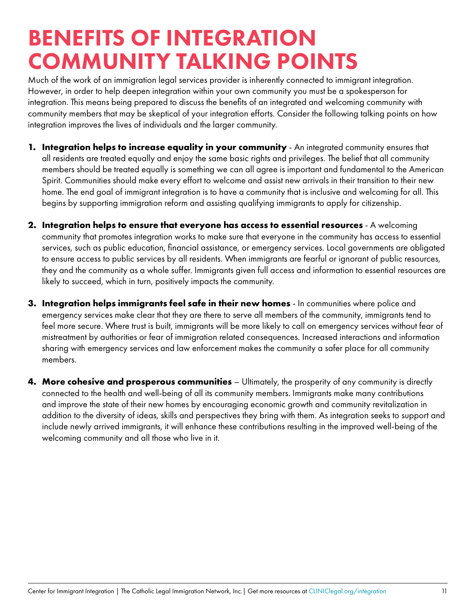## <span id="page-12-0"></span>BENEFITS OF INTEGRATION COMMUNITY TALKING POINTS

Much of the work of an immigration legal services provider is inherently connected to immigrant integration. However, in order to help deepen integration within your own community you must be a spokesperson for integration. This means being prepared to discuss the benefits of an integrated and welcoming community with community members that may be skeptical of your integration efforts. Consider the following talking points on how integration improves the lives of individuals and the larger community.

- **1. Integration helps to increase equality in your community**  An integrated community ensures that all residents are treated equally and enjoy the same basic rights and privileges. The belief that all community members should be treated equally is something we can all agree is important and fundamental to the American Spirit. Communities should make every effort to welcome and assist new arrivals in their transition to their new home. The end goal of immigrant integration is to have a community that is inclusive and welcoming for all. This begins by supporting immigration reform and assisting qualifying immigrants to apply for citizenship.
- **2. Integration helps to ensure that everyone has access to essential resources** A welcoming community that promotes integration works to make sure that everyone in the community has access to essential services, such as public education, financial assistance, or emergency services. Local governments are obligated to ensure access to public services by all residents. When immigrants are fearful or ignorant of public resources, they and the community as a whole suffer. Immigrants given full access and information to essential resources are likely to succeed, which in turn, positively impacts the community.
- **3. Integration helps immigrants feel safe in their new homes** In communities where police and emergency services make clear that they are there to serve all members of the community, immigrants tend to feel more secure. Where trust is built, immigrants will be more likely to call on emergency services without fear of mistreatment by authorities or fear of immigration related consequences. Increased interactions and information sharing with emergency services and law enforcement makes the community a safer place for all community members.
- **4. More cohesive and prosperous communities** Ultimately, the prosperity of any community is directly connected to the health and well-being of all its community members. Immigrants make many contributions and improve the state of their new homes by encouraging economic growth and community revitalization in addition to the diversity of ideas, skills and perspectives they bring with them. As integration seeks to support and include newly arrived immigrants, it will enhance these contributions resulting in the improved well-being of the welcoming community and all those who live in it.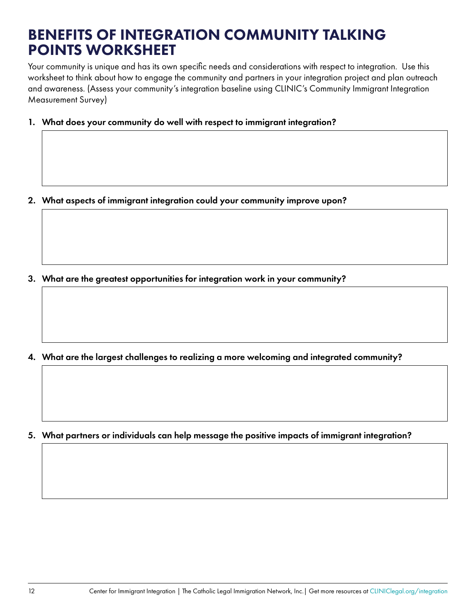### BENEFITS OF INTEGRATION COMMUNITY TALKING POINTS WORKSHEET

Your community is unique and has its own specific needs and considerations with respect to integration. Use this worksheet to think about how to engage the community and partners in your integration project and plan outreach and awareness. (Assess your community's integration baseline using CLINIC's Community Immigrant Integration Measurement Survey)

1. What does your community do well with respect to immigrant integration?

2. What aspects of immigrant integration could your community improve upon?

3. What are the greatest opportunities for integration work in your community?

4. What are the largest challenges to realizing a more welcoming and integrated community?

5. What partners or individuals can help message the positive impacts of immigrant integration?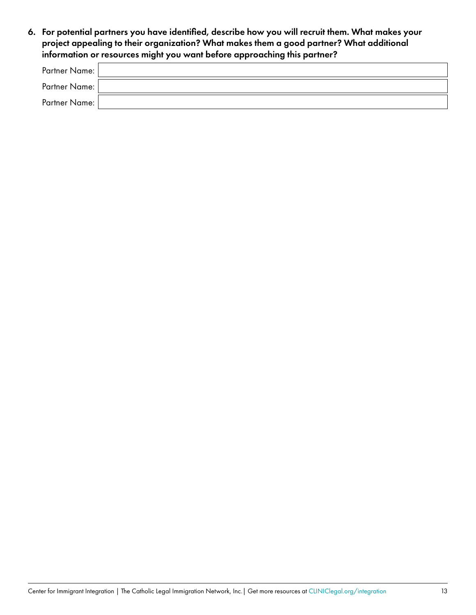6. For potential partners you have identified, describe how you will recruit them. What makes your project appealing to their organization? What makes them a good partner? What additional information or resources might you want before approaching this partner?

| Partner Name: |  |
|---------------|--|
| Partner Name: |  |
| Partner Name: |  |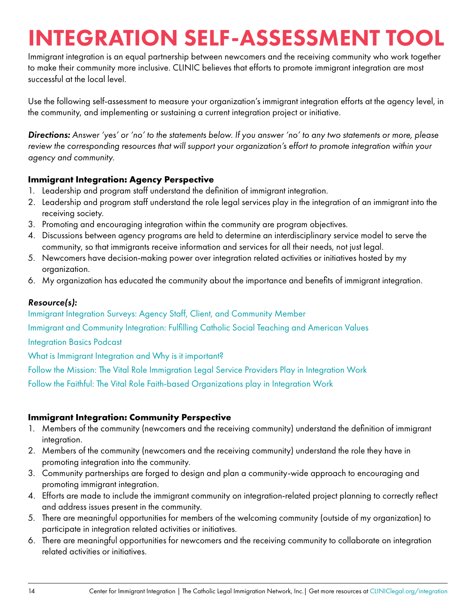## <span id="page-15-0"></span>**INTEGRATION SELF-ASSESSMENT TOO**

Immigrant integration is an equal partnership between newcomers and the receiving community who work together to make their community more inclusive. CLINIC believes that efforts to promote immigrant integration are most successful at the local level.

Use the following self-assessment to measure your organization's immigrant integration efforts at the agency level, in the community, and implementing or sustaining a current integration project or initiative.

*Directions: Answer 'yes' or 'no' to the statements below. If you answer 'no' to any two statements or more, please review the corresponding resources that will support your organization's effort to promote integration within your agency and community.*

### **Immigrant Integration: Agency Perspective**

- 1. Leadership and program staff understand the definition of immigrant integration.
- 2. Leadership and program staff understand the role legal services play in the integration of an immigrant into the receiving society.
- 3. Promoting and encouraging integration within the community are program objectives.
- 4. Discussions between agency programs are held to determine an interdisciplinary service model to serve the community, so that immigrants receive information and services for all their needs, not just legal.
- 5. Newcomers have decision-making power over integration related activities or initiatives hosted by my organization.
- 6. My organization has educated the community about the importance and benefits of immigrant integration.

### *Resource(s):*

[Immigrant Integration Surveys: Agency Staff, Client, and Community Member](https://cliniclegal.org/issues/immigrant-integration/Immigrant-Integration-Surveys) 

[Immigrant and Community Integration: Fulfilling Catholic Social Teaching and American Values](https://cliniclegal.org/file-download/download/public/298) 

[Integration Basics Podcast](https://www.youtube.com/playlist?list=PLBqez1_JsFSrJLkk2pGV1ALmfOX0rT7dN ) 

[What is Immigrant Integration and Why is it important?](https://cliniclegal.org/file-download/download/public/8620) 

[Follow the Mission: The Vital Role Immigration Legal Service Providers Play in Integration Work](https://cliniclegal.org/file-download/download/public/8700) 

[Follow the Faithful: The Vital Role Faith-based Organizations play in Integration Work](https://cliniclegal.org/file-download/download/public/8179)

### **Immigrant Integration: Community Perspective**

- 1. Members of the community (newcomers and the receiving community) understand the definition of immigrant integration.
- 2. Members of the community (newcomers and the receiving community) understand the role they have in promoting integration into the community.
- 3. Community partnerships are forged to design and plan a community-wide approach to encouraging and promoting immigrant integration.
- 4. Efforts are made to include the immigrant community on integration-related project planning to correctly reflect and address issues present in the community.
- 5. There are meaningful opportunities for members of the welcoming community (outside of my organization) to participate in integration related activities or initiatives.
- 6. There are meaningful opportunities for newcomers and the receiving community to collaborate on integration related activities or initiatives.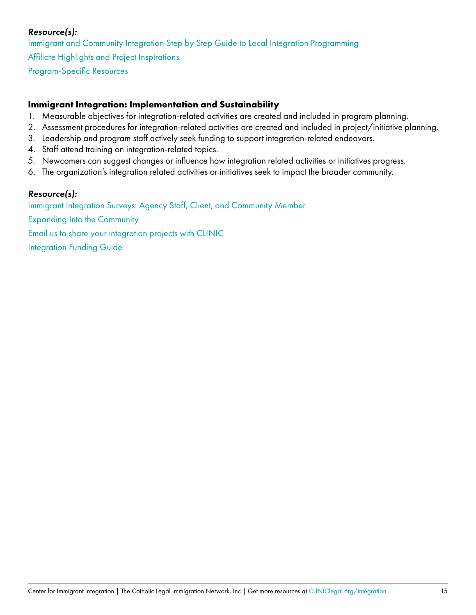#### *Resource(s):*

[Immigrant and Community Integration Step by Step Guide to Local Integration Programming](https://cliniclegal.org/file-download/download/public/4111)  [Affiliate Highlights and Project Inspirations](https://cliniclegal.org/issues/immigrant-integration/affiliate-highlights)  [Program-Specific Resources](https://cliniclegal.org/issues/immigrant-integration/building-program) 

#### **Immigrant Integration: Implementation and Sustainability**

- 1. Measurable objectives for integration-related activities are created and included in program planning.
- 2. Assessment procedures for integration-related activities are created and included in project/initiative planning.
- 3. Leadership and program staff actively seek funding to support integration-related endeavors.
- 4. Staff attend training on integration-related topics.
- 5. Newcomers can suggest changes or influence how integration related activities or initiatives progress.
- 6. The organization's integration related activities or initiatives seek to impact the broader community.

#### *Resource(s):*

[Immigrant Integration Surveys: Agency Staff, Client, and Community Member](https://cliniclegal.org/issues/immigrant-integration/Immigrant-Integration-Surveys)  [Expanding Into the Community](https://cliniclegal.org/issues/immigrant-integration/expanding-community)  [Email us to share your integration projects with CLINIC](mailto:lspeasmaker@cliniclegal.org)  [Integration Funding Guide](https://cliniclegal.org/resources/immigrant-integration/immigrant-integration-funding-guide)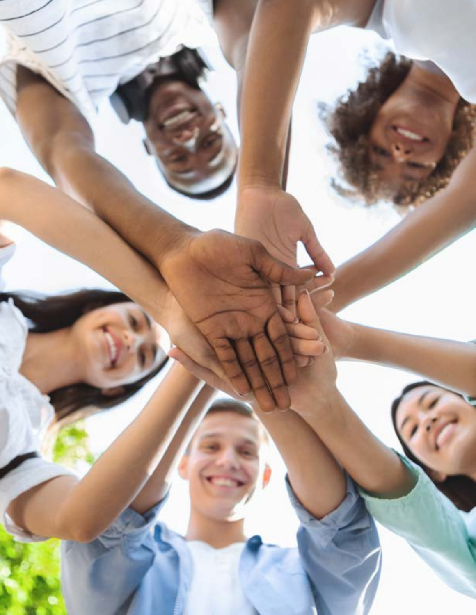